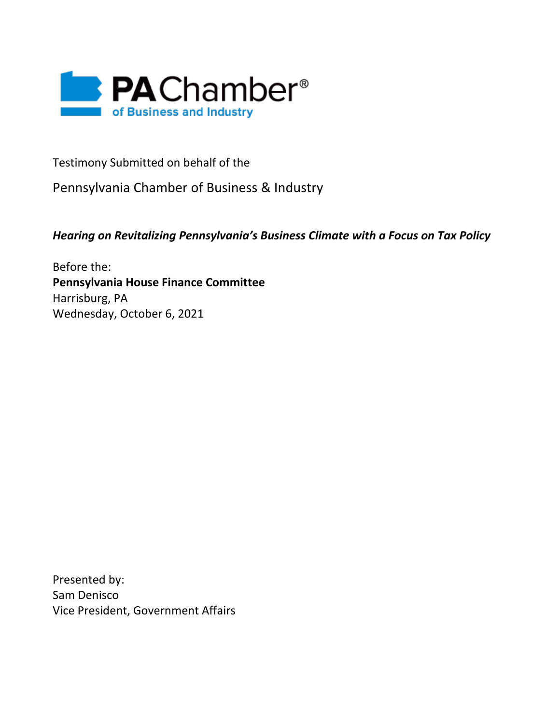

Testimony Submitted on behalf of the

Pennsylvania Chamber of Business & Industry

*Hearing on Revitalizing Pennsylvania's Business Climate with a Focus on Tax Policy*

Before the: **Pennsylvania House Finance Committee** Harrisburg, PA Wednesday, October 6, 2021

Presented by: Sam Denisco Vice President, Government Affairs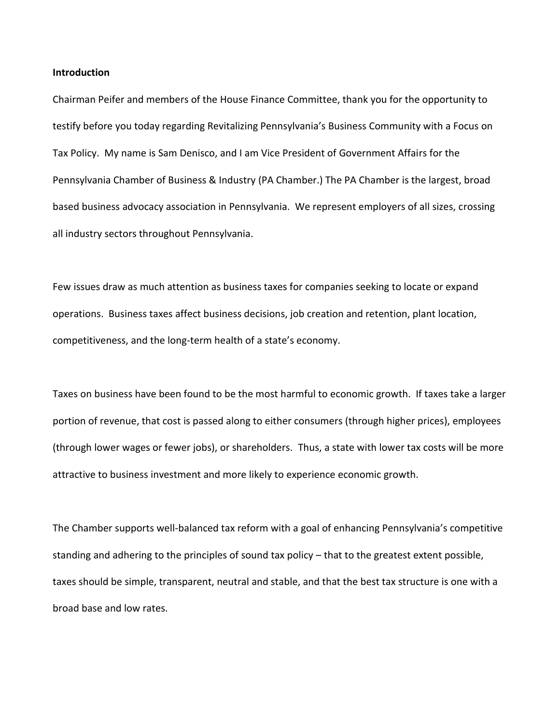#### **Introduction**

Chairman Peifer and members of the House Finance Committee, thank you for the opportunity to testify before you today regarding Revitalizing Pennsylvania's Business Community with a Focus on Tax Policy. My name is Sam Denisco, and I am Vice President of Government Affairs for the Pennsylvania Chamber of Business & Industry (PA Chamber.) The PA Chamber is the largest, broad based business advocacy association in Pennsylvania. We represent employers of all sizes, crossing all industry sectors throughout Pennsylvania.

Few issues draw as much attention as business taxes for companies seeking to locate or expand operations. Business taxes affect business decisions, job creation and retention, plant location, competitiveness, and the long-term health of a state's economy.

Taxes on business have been found to be the most harmful to economic growth. If taxes take a larger portion of revenue, that cost is passed along to either consumers (through higher prices), employees (through lower wages or fewer jobs), or shareholders. Thus, a state with lower tax costs will be more attractive to business investment and more likely to experience economic growth.

The Chamber supports well-balanced tax reform with a goal of enhancing Pennsylvania's competitive standing and adhering to the principles of sound tax policy – that to the greatest extent possible, taxes should be simple, transparent, neutral and stable, and that the best tax structure is one with a broad base and low rates.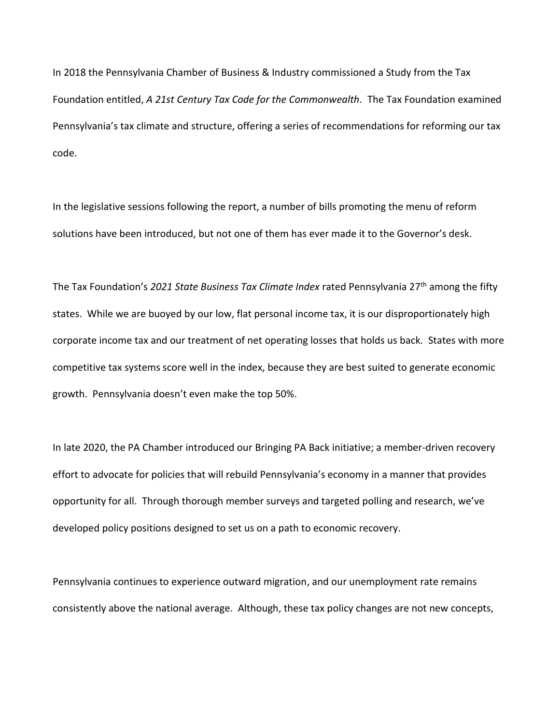In 2018 the Pennsylvania Chamber of Business & Industry commissioned a Study from the Tax Foundation entitled, *A 21st Century Tax Code for the Commonwealth*. The Tax Foundation examined Pennsylvania's tax climate and structure, offering a series of recommendations for reforming our tax code.

In the legislative sessions following the report, a number of bills promoting the menu of reform solutions have been introduced, but not one of them has ever made it to the Governor's desk.

The Tax Foundation's *2021 State Business Tax Climate Index* rated Pennsylvania 27th among the fifty states. While we are buoyed by our low, flat personal income tax, it is our disproportionately high corporate income tax and our treatment of net operating losses that holds us back. States with more competitive tax systems score well in the index, because they are best suited to generate economic growth. Pennsylvania doesn't even make the top 50%.

In late 2020, the PA Chamber introduced our Bringing PA Back initiative; a member-driven recovery effort to advocate for policies that will rebuild Pennsylvania's economy in a manner that provides opportunity for all. Through thorough member surveys and targeted polling and research, we've developed policy positions designed to set us on a path to economic recovery.

Pennsylvania continues to experience outward migration, and our unemployment rate remains consistently above the national average. Although, these tax policy changes are not new concepts,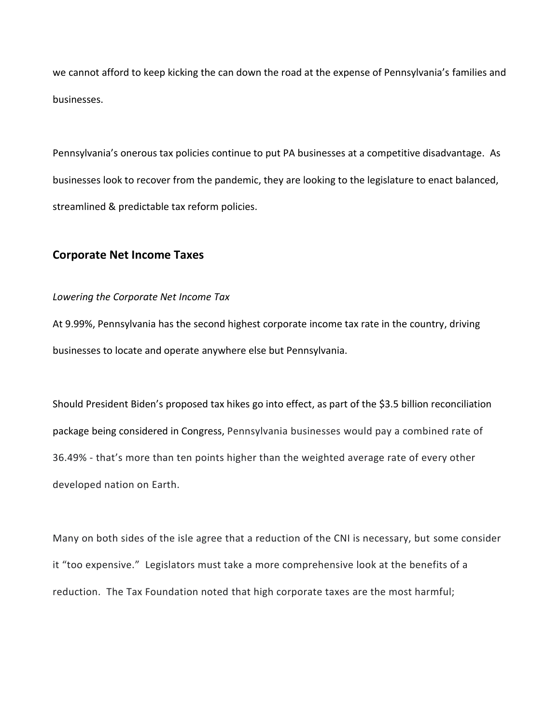we cannot afford to keep kicking the can down the road at the expense of Pennsylvania's families and businesses.

Pennsylvania's onerous tax policies continue to put PA businesses at a competitive disadvantage. As businesses look to recover from the pandemic, they are looking to the legislature to enact balanced, streamlined & predictable tax reform policies.

## **Corporate Net Income Taxes**

## *Lowering the Corporate Net Income Tax*

At 9.99%, Pennsylvania has the second highest corporate income tax rate in the country, driving businesses to locate and operate anywhere else but Pennsylvania.

Should President Biden's proposed tax hikes go into effect, as part of the \$3.5 billion reconciliation package being considered in Congress, Pennsylvania businesses would pay a combined rate of 36.49% - that's more than ten points higher than the weighted average rate of every other developed nation on Earth.

Many on both sides of the isle agree that a reduction of the CNI is necessary, but some consider it "too expensive." Legislators must take a more comprehensive look at the benefits of a reduction. The Tax Foundation noted that high corporate taxes are the most harmful;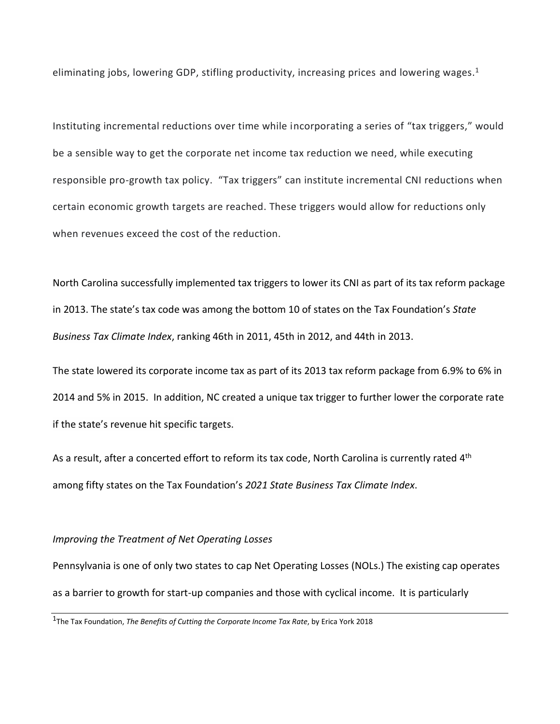eliminating jobs, lowering GDP, stifling productivity, increasing prices and lowering wages.<sup>1</sup>

Instituting incremental reductions over time while incorporating a series of "tax triggers," would be a sensible way to get the corporate net income tax reduction we need, while executing responsible pro-growth tax policy. "Tax triggers" can institute incremental CNI reductions when certain economic growth targets are reached. These triggers would allow for reductions only when revenues exceed the cost of the reduction.

North Carolina successfully implemented tax triggers to lower its CNI as part of its tax reform package in 2013. The state's tax code was among the bottom 10 of states on the Tax Foundation's *State Business Tax Climate Index*, ranking 46th in 2011, 45th in 2012, and 44th in 2013.

The state lowered its corporate income tax as part of its 2013 tax reform package from 6.9% to 6% in 2014 and 5% in 2015. In addition, NC created a unique tax trigger to further lower the corporate rate if the state's revenue hit specific targets.

As a result, after a concerted effort to reform its tax code, North Carolina is currently rated  $4<sup>th</sup>$ among fifty states on the Tax Foundation's *2021 State Business Tax Climate Index*.

## *Improving the Treatment of Net Operating Losses*

Pennsylvania is one of only two states to cap Net Operating Losses (NOLs.) The existing cap operates as a barrier to growth for start-up companies and those with cyclical income. It is particularly

<sup>1</sup> The Tax Foundation, *The Benefits of Cutting the Corporate Income Tax Rate*, by Erica York 2018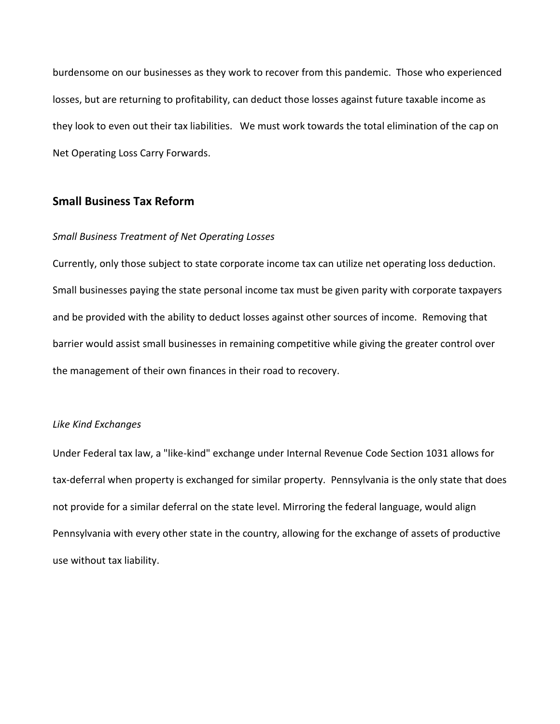burdensome on our businesses as they work to recover from this pandemic. Those who experienced losses, but are returning to profitability, can deduct those losses against future taxable income as they look to even out their tax liabilities. We must work towards the total elimination of the cap on Net Operating Loss Carry Forwards.

# **Small Business Tax Reform**

## *Small Business Treatment of Net Operating Losses*

Currently, only those subject to state corporate income tax can utilize net operating loss deduction. Small businesses paying the state personal income tax must be given parity with corporate taxpayers and be provided with the ability to deduct losses against other sources of income. Removing that barrier would assist small businesses in remaining competitive while giving the greater control over the management of their own finances in their road to recovery.

#### *Like Kind Exchanges*

Under Federal tax law, a "like-kind" exchange under Internal Revenue Code Section 1031 allows for tax-deferral when property is exchanged for similar property. Pennsylvania is the only state that does not provide for a similar deferral on the state level. Mirroring the federal language, would align Pennsylvania with every other state in the country, allowing for the exchange of assets of productive use without tax liability.